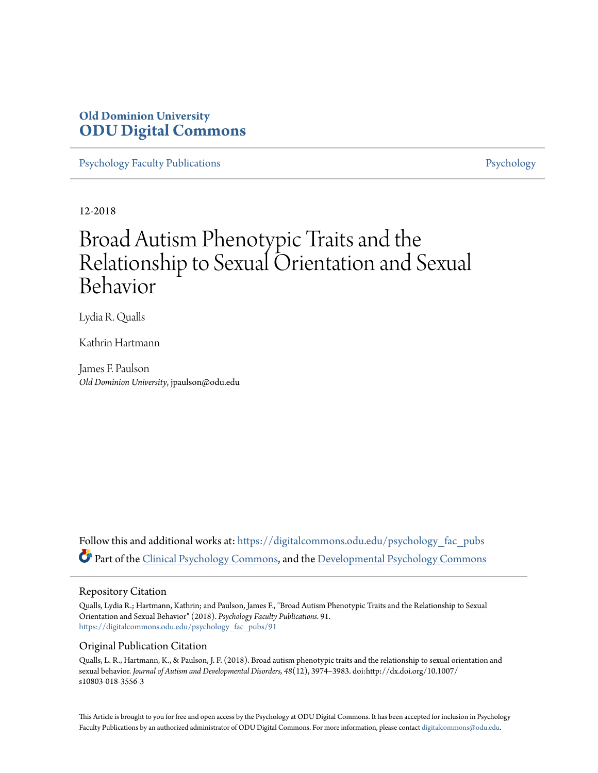# **Old Dominion University [ODU Digital Commons](https://digitalcommons.odu.edu?utm_source=digitalcommons.odu.edu%2Fpsychology_fac_pubs%2F91&utm_medium=PDF&utm_campaign=PDFCoverPages)**

[Psychology Faculty Publications](https://digitalcommons.odu.edu/psychology_fac_pubs?utm_source=digitalcommons.odu.edu%2Fpsychology_fac_pubs%2F91&utm_medium=PDF&utm_campaign=PDFCoverPages) **[Psychology](https://digitalcommons.odu.edu/psychology?utm_source=digitalcommons.odu.edu%2Fpsychology_fac_pubs%2F91&utm_medium=PDF&utm_campaign=PDFCoverPages)** 

12-2018

# Broad Autism Phenotypic Traits and the Relationship to Sexual Orientation and Sexual Behavior

Lydia R. Qualls

Kathrin Hartmann

James F. Paulson *Old Dominion University*, jpaulson@odu.edu

Follow this and additional works at: [https://digitalcommons.odu.edu/psychology\\_fac\\_pubs](https://digitalcommons.odu.edu/psychology_fac_pubs?utm_source=digitalcommons.odu.edu%2Fpsychology_fac_pubs%2F91&utm_medium=PDF&utm_campaign=PDFCoverPages) Part of the [Clinical Psychology Commons,](http://network.bepress.com/hgg/discipline/406?utm_source=digitalcommons.odu.edu%2Fpsychology_fac_pubs%2F91&utm_medium=PDF&utm_campaign=PDFCoverPages) and the [Developmental Psychology Commons](http://network.bepress.com/hgg/discipline/410?utm_source=digitalcommons.odu.edu%2Fpsychology_fac_pubs%2F91&utm_medium=PDF&utm_campaign=PDFCoverPages)

# Repository Citation

Qualls, Lydia R.; Hartmann, Kathrin; and Paulson, James F., "Broad Autism Phenotypic Traits and the Relationship to Sexual Orientation and Sexual Behavior" (2018). *Psychology Faculty Publications*. 91. [https://digitalcommons.odu.edu/psychology\\_fac\\_pubs/91](https://digitalcommons.odu.edu/psychology_fac_pubs/91?utm_source=digitalcommons.odu.edu%2Fpsychology_fac_pubs%2F91&utm_medium=PDF&utm_campaign=PDFCoverPages)

# Original Publication Citation

Qualls, L. R., Hartmann, K., & Paulson, J. F. (2018). Broad autism phenotypic traits and the relationship to sexual orientation and sexual behavior. *Journal of Autism and Developmental Disorders, 48*(12), 3974–3983. doi:http://dx.doi.org/10.1007/ s10803-018-3556-3

This Article is brought to you for free and open access by the Psychology at ODU Digital Commons. It has been accepted for inclusion in Psychology Faculty Publications by an authorized administrator of ODU Digital Commons. For more information, please contact [digitalcommons@odu.edu.](mailto:digitalcommons@odu.edu)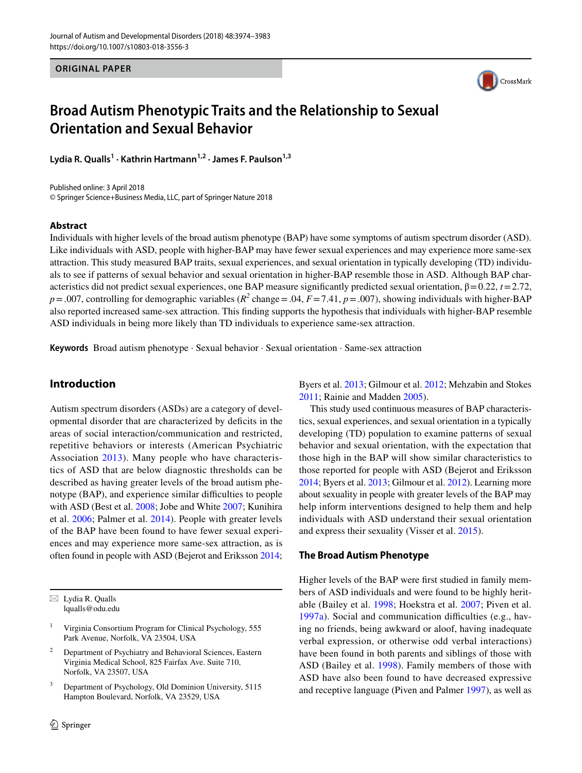**ORIGINAL PAPER**



# **Broad Autism Phenotypic Traits and the Relationship to Sexual Orientation and Sexual Behavior**

Lydia R. Qualls<sup>1</sup> · Kathrin Hartmann<sup>1,2</sup> · James F. Paulson<sup>1,3</sup>

Published online: 3 April 2018 © Springer Science+Business Media, LLC, part of Springer Nature 2018

# **Abstract**

Individuals with higher levels of the broad autism phenotype (BAP) have some symptoms of autism spectrum disorder (ASD). Like individuals with ASD, people with higher-BAP may have fewer sexual experiences and may experience more same-sex attraction. This study measured BAP traits, sexual experiences, and sexual orientation in typically developing (TD) individuals to see if patterns of sexual behavior and sexual orientation in higher-BAP resemble those in ASD. Although BAP characteristics did not predict sexual experiences, one BAP measure significantly predicted sexual orientation,  $β = 0.22, t = 2.72$ ,  $p = .007$ , controlling for demographic variables ( $R^2$  change = .04,  $F = 7.41$ ,  $p = .007$ ), showing individuals with higher-BAP also reported increased same-sex attraction. This finding supports the hypothesis that individuals with higher-BAP resemble ASD individuals in being more likely than TD individuals to experience same-sex attraction.

**Keywords** Broad autism phenotype · Sexual behavior · Sexual orientation · Same-sex attraction

# **Introduction**

Autism spectrum disorders (ASDs) are a category of developmental disorder that are characterized by deficits in the areas of social interaction/communication and restricted, repetitive behaviors or interests (American Psychiatric Association [2013\)](#page-8-0). Many people who have characteristics of ASD that are below diagnostic thresholds can be described as having greater levels of the broad autism phenotype (BAP), and experience similar difficulties to people with ASD (Best et al. [2008;](#page-9-0) Jobe and White [2007](#page-9-1); Kunihira et al. [2006](#page-9-2); Palmer et al. [2014\)](#page-9-3). People with greater levels of the BAP have been found to have fewer sexual experiences and may experience more same-sex attraction, as is often found in people with ASD (Bejerot and Eriksson [2014](#page-8-1);

 $\boxtimes$  Lydia R. Qualls lqualls@odu.edu Byers et al. [2013](#page-9-4); Gilmour et al. [2012](#page-9-5); Mehzabin and Stokes [2011](#page-9-6); Rainie and Madden [2005](#page-10-0)).

This study used continuous measures of BAP characteristics, sexual experiences, and sexual orientation in a typically developing (TD) population to examine patterns of sexual behavior and sexual orientation, with the expectation that those high in the BAP will show similar characteristics to those reported for people with ASD (Bejerot and Eriksson [2014;](#page-8-1) Byers et al. [2013;](#page-9-4) Gilmour et al. [2012\)](#page-9-5). Learning more about sexuality in people with greater levels of the BAP may help inform interventions designed to help them and help individuals with ASD understand their sexual orientation and express their sexuality (Visser et al. [2015](#page-10-1)).

# **The Broad Autism Phenotype**

Higher levels of the BAP were first studied in family members of ASD individuals and were found to be highly heritable (Bailey et al. [1998;](#page-8-2) Hoekstra et al. [2007](#page-9-7); Piven et al. [1997a](#page-9-8)). Social and communication difficulties (e.g., having no friends, being awkward or aloof, having inadequate verbal expression, or otherwise odd verbal interactions) have been found in both parents and siblings of those with ASD (Bailey et al. [1998](#page-8-2)). Family members of those with ASD have also been found to have decreased expressive and receptive language (Piven and Palmer [1997](#page-9-9)), as well as

Virginia Consortium Program for Clinical Psychology, 555 Park Avenue, Norfolk, VA 23504, USA

<sup>&</sup>lt;sup>2</sup> Department of Psychiatry and Behavioral Sciences, Eastern Virginia Medical School, 825 Fairfax Ave. Suite 710, Norfolk, VA 23507, USA

Department of Psychology, Old Dominion University, 5115 Hampton Boulevard, Norfolk, VA 23529, USA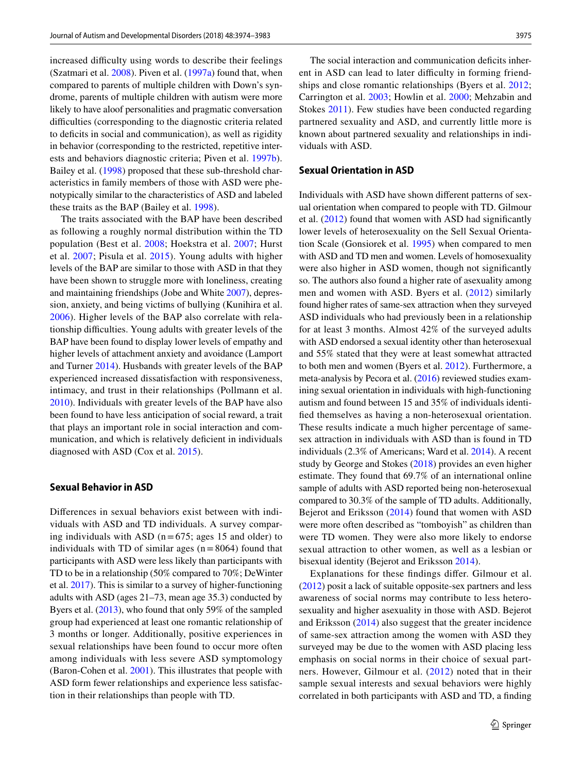increased difficulty using words to describe their feelings (Szatmari et al. [2008](#page-10-2)). Piven et al. ([1997a](#page-9-8)) found that, when compared to parents of multiple children with Down's syndrome, parents of multiple children with autism were more likely to have aloof personalities and pragmatic conversation difficulties (corresponding to the diagnostic criteria related to deficits in social and communication), as well as rigidity in behavior (corresponding to the restricted, repetitive interests and behaviors diagnostic criteria; Piven et al. [1997b](#page-9-10)). Bailey et al. ([1998](#page-8-2)) proposed that these sub-threshold characteristics in family members of those with ASD were phenotypically similar to the characteristics of ASD and labeled these traits as the BAP (Bailey et al. [1998\)](#page-8-2).

The traits associated with the BAP have been described as following a roughly normal distribution within the TD population (Best et al. [2008;](#page-9-0) Hoekstra et al. [2007](#page-9-7); Hurst et al. [2007](#page-9-11); Pisula et al. [2015\)](#page-9-12). Young adults with higher levels of the BAP are similar to those with ASD in that they have been shown to struggle more with loneliness, creating and maintaining friendships (Jobe and White [2007\)](#page-9-1), depression, anxiety, and being victims of bullying (Kunihira et al. [2006\)](#page-9-2). Higher levels of the BAP also correlate with relationship difficulties. Young adults with greater levels of the BAP have been found to display lower levels of empathy and higher levels of attachment anxiety and avoidance (Lamport and Turner [2014\)](#page-9-13). Husbands with greater levels of the BAP experienced increased dissatisfaction with responsiveness, intimacy, and trust in their relationships (Pollmann et al. [2010](#page-9-14)). Individuals with greater levels of the BAP have also been found to have less anticipation of social reward, a trait that plays an important role in social interaction and communication, and which is relatively deficient in individuals diagnosed with ASD (Cox et al. [2015](#page-9-15)).

# **Sexual Behavior in ASD**

Differences in sexual behaviors exist between with individuals with ASD and TD individuals. A survey comparing individuals with ASD ( $n=675$ ; ages 15 and older) to individuals with TD of similar ages  $(n=8064)$  found that participants with ASD were less likely than participants with TD to be in a relationship (50% compared to 70%; DeWinter et al. [2017](#page-9-16)). This is similar to a survey of higher-functioning adults with ASD (ages 21–73, mean age 35.3) conducted by Byers et al. [\(2013](#page-9-4)), who found that only 59% of the sampled group had experienced at least one romantic relationship of 3 months or longer. Additionally, positive experiences in sexual relationships have been found to occur more often among individuals with less severe ASD symptomology (Baron-Cohen et al. [2001](#page-8-3)). This illustrates that people with ASD form fewer relationships and experience less satisfaction in their relationships than people with TD.

The social interaction and communication deficits inherent in ASD can lead to later difficulty in forming friendships and close romantic relationships (Byers et al. [2012](#page-9-17); Carrington et al. [2003;](#page-9-18) Howlin et al. [2000](#page-9-19); Mehzabin and Stokes [2011](#page-9-6)). Few studies have been conducted regarding partnered sexuality and ASD, and currently little more is known about partnered sexuality and relationships in individuals with ASD.

# **Sexual Orientation in ASD**

Individuals with ASD have shown different patterns of sexual orientation when compared to people with TD. Gilmour et al. ([2012](#page-9-5)) found that women with ASD had significantly lower levels of heterosexuality on the Sell Sexual Orientation Scale (Gonsiorek et al. [1995\)](#page-9-20) when compared to men with ASD and TD men and women. Levels of homosexuality were also higher in ASD women, though not significantly so. The authors also found a higher rate of asexuality among men and women with ASD. Byers et al. [\(2012\)](#page-9-17) similarly found higher rates of same-sex attraction when they surveyed ASD individuals who had previously been in a relationship for at least 3 months. Almost 42% of the surveyed adults with ASD endorsed a sexual identity other than heterosexual and 55% stated that they were at least somewhat attracted to both men and women (Byers et al. [2012\)](#page-9-17). Furthermore, a meta-analysis by Pecora et al. [\(2016\)](#page-9-21) reviewed studies examining sexual orientation in individuals with high-functioning autism and found between 15 and 35% of individuals identified themselves as having a non-heterosexual orientation. These results indicate a much higher percentage of samesex attraction in individuals with ASD than is found in TD individuals (2.3% of Americans; Ward et al. [2014](#page-10-3)). A recent study by George and Stokes [\(2018](#page-9-22)) provides an even higher estimate. They found that 69.7% of an international online sample of adults with ASD reported being non-heterosexual compared to 30.3% of the sample of TD adults. Additionally, Bejerot and Eriksson ([2014](#page-8-1)) found that women with ASD were more often described as "tomboyish" as children than were TD women. They were also more likely to endorse sexual attraction to other women, as well as a lesbian or bisexual identity (Bejerot and Eriksson [2014](#page-8-1)).

Explanations for these findings differ. Gilmour et al. [\(2012](#page-9-5)) posit a lack of suitable opposite-sex partners and less awareness of social norms may contribute to less heterosexuality and higher asexuality in those with ASD. Bejerot and Eriksson ([2014\)](#page-8-1) also suggest that the greater incidence of same-sex attraction among the women with ASD they surveyed may be due to the women with ASD placing less emphasis on social norms in their choice of sexual partners. However, Gilmour et al. ([2012\)](#page-9-5) noted that in their sample sexual interests and sexual behaviors were highly correlated in both participants with ASD and TD, a finding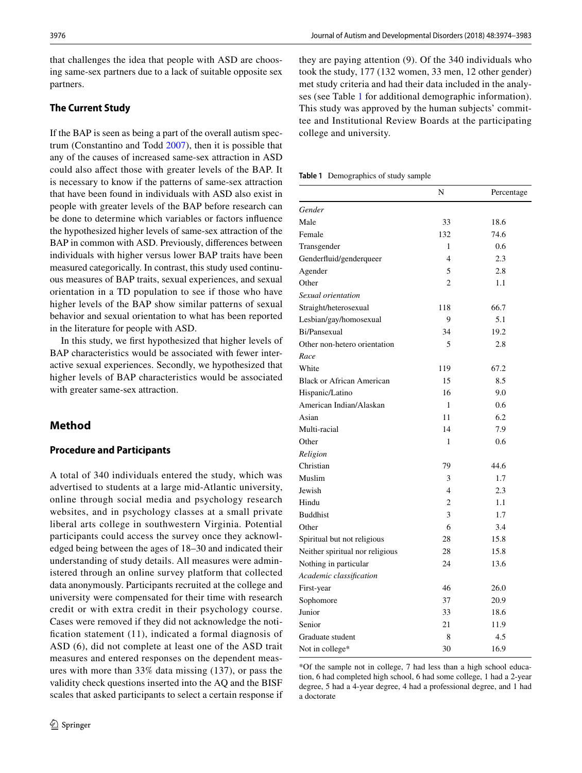that challenges the idea that people with ASD are choosing same-sex partners due to a lack of suitable opposite sex partners.

# **The Current Study**

If the BAP is seen as being a part of the overall autism spectrum (Constantino and Todd [2007](#page-9-23)), then it is possible that any of the causes of increased same-sex attraction in ASD could also affect those with greater levels of the BAP. It is necessary to know if the patterns of same-sex attraction that have been found in individuals with ASD also exist in people with greater levels of the BAP before research can be done to determine which variables or factors influence the hypothesized higher levels of same-sex attraction of the BAP in common with ASD. Previously, differences between individuals with higher versus lower BAP traits have been measured categorically. In contrast, this study used continuous measures of BAP traits, sexual experiences, and sexual orientation in a TD population to see if those who have higher levels of the BAP show similar patterns of sexual behavior and sexual orientation to what has been reported in the literature for people with ASD.

In this study, we first hypothesized that higher levels of BAP characteristics would be associated with fewer interactive sexual experiences. Secondly, we hypothesized that higher levels of BAP characteristics would be associated with greater same-sex attraction.

# **Method**

# **Procedure and Participants**

A total of 340 individuals entered the study, which was advertised to students at a large mid-Atlantic university, online through social media and psychology research websites, and in psychology classes at a small private liberal arts college in southwestern Virginia. Potential participants could access the survey once they acknowledged being between the ages of 18–30 and indicated their understanding of study details. All measures were administered through an online survey platform that collected data anonymously. Participants recruited at the college and university were compensated for their time with research credit or with extra credit in their psychology course. Cases were removed if they did not acknowledge the notification statement (11), indicated a formal diagnosis of ASD (6), did not complete at least one of the ASD trait measures and entered responses on the dependent measures with more than 33% data missing (137), or pass the validity check questions inserted into the AQ and the BISF scales that asked participants to select a certain response if they are paying attention (9). Of the 340 individuals who took the study, 177 (132 women, 33 men, 12 other gender) met study criteria and had their data included in the analyses (see Table [1](#page-3-0) for additional demographic information). This study was approved by the human subjects' committee and Institutional Review Boards at the participating college and university.

<span id="page-3-0"></span>**Table 1** Demographics of study sample

|                                  | N                        | Percentage |
|----------------------------------|--------------------------|------------|
| Gender                           |                          |            |
| Male                             | 33                       | 18.6       |
| Female                           | 132                      | 74.6       |
| Transgender                      | 1                        | 0.6        |
| Genderfluid/genderqueer          | $\overline{4}$           | 2.3        |
| Agender                          | 5                        | 2.8        |
| Other                            | $\overline{c}$           | 1.1        |
| Sexual orientation               |                          |            |
| Straight/heterosexual            | 118                      | 66.7       |
| Lesbian/gay/homosexual           | 9                        | 5.1        |
| Bi/Pansexual                     | 34                       | 19.2       |
| Other non-hetero orientation     | 5                        | 2.8        |
| Race                             |                          |            |
| White                            | 119                      | 67.2       |
| <b>Black or African American</b> | 15                       | 8.5        |
| Hispanic/Latino                  | 16                       | 9.0        |
| American Indian/Alaskan          | 1                        | 0.6        |
| Asian                            | 11                       | 6.2        |
| Multi-racial                     | 14                       | 7.9        |
| Other                            | 1                        | 0.6        |
| Religion                         |                          |            |
| Christian                        | 79                       | 44.6       |
| Muslim                           | 3                        | 1.7        |
| Jewish                           | $\overline{\mathcal{L}}$ | 2.3        |
| Hindu                            | $\overline{2}$           | 1.1        |
| <b>Buddhist</b>                  | 3                        | 1.7        |
| Other                            | 6                        | 3.4        |
| Spiritual but not religious      | 28                       | 15.8       |
| Neither spiritual nor religious  | 28                       | 15.8       |
| Nothing in particular            | 24                       | 13.6       |
| Academic classification          |                          |            |
| First-year                       | 46                       | 26.0       |
| Sophomore                        | 37                       | 20.9       |
| Junior                           | 33                       | 18.6       |
| Senior                           | 21                       | 11.9       |
| Graduate student                 | 8                        | 4.5        |
| Not in college*                  | 30                       | 16.9       |

\*Of the sample not in college, 7 had less than a high school education, 6 had completed high school, 6 had some college, 1 had a 2-year degree, 5 had a 4-year degree, 4 had a professional degree, and 1 had a doctorate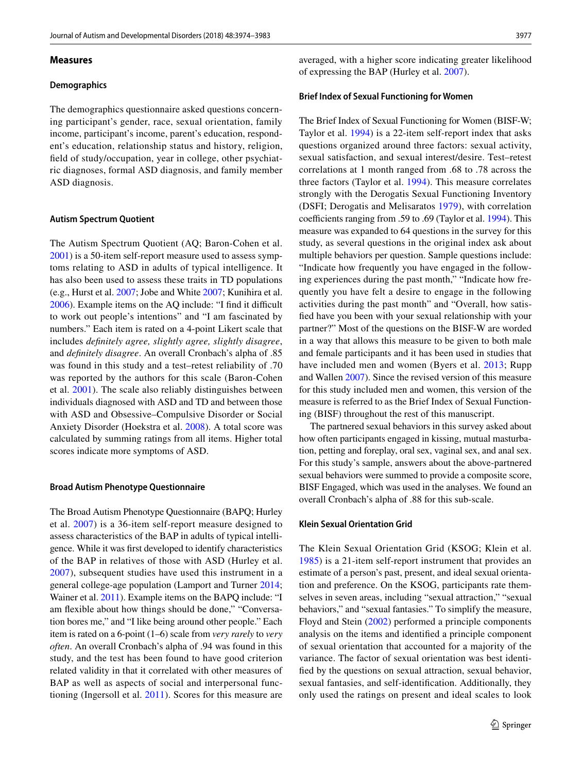#### **Measures**

# **Demographics**

The demographics questionnaire asked questions concerning participant's gender, race, sexual orientation, family income, participant's income, parent's education, respondent's education, relationship status and history, religion, field of study/occupation, year in college, other psychiatric diagnoses, formal ASD diagnosis, and family member ASD diagnosis.

#### **Autism Spectrum Quotient**

The Autism Spectrum Quotient (AQ; Baron-Cohen et al. [2001](#page-8-3)) is a 50-item self-report measure used to assess symptoms relating to ASD in adults of typical intelligence. It has also been used to assess these traits in TD populations (e.g., Hurst et al. [2007](#page-9-11); Jobe and White [2007;](#page-9-1) Kunihira et al. [2006](#page-9-2)). Example items on the AQ include: "I find it difficult to work out people's intentions" and "I am fascinated by numbers." Each item is rated on a 4-point Likert scale that includes *definitely agree, slightly agree, slightly disagree*, and *definitely disagree*. An overall Cronbach's alpha of .85 was found in this study and a test–retest reliability of .70 was reported by the authors for this scale (Baron-Cohen et al. [2001\)](#page-8-3). The scale also reliably distinguishes between individuals diagnosed with ASD and TD and between those with ASD and Obsessive–Compulsive Disorder or Social Anxiety Disorder (Hoekstra et al. [2008](#page-9-24)). A total score was calculated by summing ratings from all items. Higher total scores indicate more symptoms of ASD.

#### **Broad Autism Phenotype Questionnaire**

The Broad Autism Phenotype Questionnaire (BAPQ; Hurley et al. [2007\)](#page-9-25) is a 36-item self-report measure designed to assess characteristics of the BAP in adults of typical intelligence. While it was first developed to identify characteristics of the BAP in relatives of those with ASD (Hurley et al. [2007\)](#page-9-25), subsequent studies have used this instrument in a general college-age population (Lamport and Turner [2014](#page-9-13); Wainer et al. [2011\)](#page-10-4). Example items on the BAPQ include: "I am flexible about how things should be done," "Conversation bores me," and "I like being around other people." Each item is rated on a 6-point (1–6) scale from *very rarely* to *very often*. An overall Cronbach's alpha of .94 was found in this study, and the test has been found to have good criterion related validity in that it correlated with other measures of BAP as well as aspects of social and interpersonal functioning (Ingersoll et al. [2011\)](#page-9-26). Scores for this measure are averaged, with a higher score indicating greater likelihood of expressing the BAP (Hurley et al. [2007\)](#page-9-25).

# **Brief Index of Sexual Functioning for Women**

The Brief Index of Sexual Functioning for Women (BISF-W; Taylor et al. [1994\)](#page-10-5) is a 22-item self-report index that asks questions organized around three factors: sexual activity, sexual satisfaction, and sexual interest/desire. Test–retest correlations at 1 month ranged from .68 to .78 across the three factors (Taylor et al. [1994\)](#page-10-5). This measure correlates strongly with the Derogatis Sexual Functioning Inventory (DSFI; Derogatis and Melisaratos [1979](#page-9-27)), with correlation coefficients ranging from .59 to .69 (Taylor et al. [1994\)](#page-10-5). This measure was expanded to 64 questions in the survey for this study, as several questions in the original index ask about multiple behaviors per question. Sample questions include: "Indicate how frequently you have engaged in the following experiences during the past month," "Indicate how frequently you have felt a desire to engage in the following activities during the past month" and "Overall, how satisfied have you been with your sexual relationship with your partner?" Most of the questions on the BISF-W are worded in a way that allows this measure to be given to both male and female participants and it has been used in studies that have included men and women (Byers et al. [2013;](#page-9-4) Rupp and Wallen [2007\)](#page-10-6). Since the revised version of this measure for this study included men and women, this version of the measure is referred to as the Brief Index of Sexual Functioning (BISF) throughout the rest of this manuscript.

The partnered sexual behaviors in this survey asked about how often participants engaged in kissing, mutual masturbation, petting and foreplay, oral sex, vaginal sex, and anal sex. For this study's sample, answers about the above-partnered sexual behaviors were summed to provide a composite score, BISF Engaged, which was used in the analyses. We found an overall Cronbach's alpha of .88 for this sub-scale.

#### **Klein Sexual Orientation Grid**

The Klein Sexual Orientation Grid (KSOG; Klein et al. [1985\)](#page-9-28) is a 21-item self-report instrument that provides an estimate of a person's past, present, and ideal sexual orientation and preference. On the KSOG, participants rate themselves in seven areas, including "sexual attraction," "sexual behaviors," and "sexual fantasies." To simplify the measure, Floyd and Stein ([2002](#page-9-29)) performed a principle components analysis on the items and identified a principle component of sexual orientation that accounted for a majority of the variance. The factor of sexual orientation was best identified by the questions on sexual attraction, sexual behavior, sexual fantasies, and self-identification. Additionally, they only used the ratings on present and ideal scales to look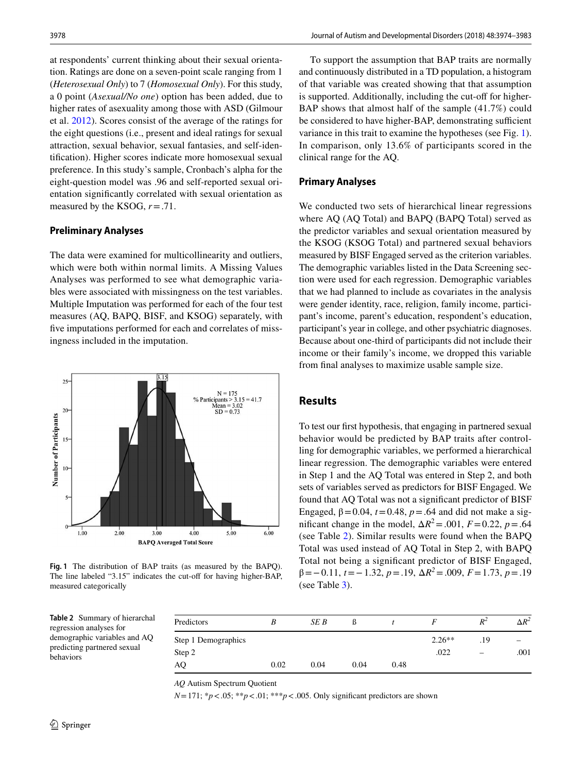at respondents' current thinking about their sexual orientation. Ratings are done on a seven-point scale ranging from 1 (*Heterosexual Only*) to 7 (*Homosexual Only*). For this study, a 0 point (*Asexual/No one*) option has been added, due to higher rates of asexuality among those with ASD (Gilmour et al. [2012](#page-9-5)). Scores consist of the average of the ratings for the eight questions (i.e., present and ideal ratings for sexual attraction, sexual behavior, sexual fantasies, and self-identification). Higher scores indicate more homosexual sexual preference. In this study's sample, Cronbach's alpha for the eight-question model was .96 and self-reported sexual orientation significantly correlated with sexual orientation as measured by the KSOG, *r*=.71.

# **Preliminary Analyses**

The data were examined for multicollinearity and outliers, which were both within normal limits. A Missing Values Analyses was performed to see what demographic variables were associated with missingness on the test variables. Multiple Imputation was performed for each of the four test measures (AQ, BAPQ, BISF, and KSOG) separately, with five imputations performed for each and correlates of missingness included in the imputation.



<span id="page-5-0"></span>**Fig. 1** The distribution of BAP traits (as measured by the BAPQ). The line labeled "3.15" indicates the cut-off for having higher-BAP, measured categorically

To support the assumption that BAP traits are normally and continuously distributed in a TD population, a histogram of that variable was created showing that that assumption is supported. Additionally, including the cut-off for higher-BAP shows that almost half of the sample (41.7%) could be considered to have higher-BAP, demonstrating sufficient variance in this trait to examine the hypotheses (see Fig. [1](#page-5-0)). In comparison, only 13.6% of participants scored in the clinical range for the AQ.

# **Primary Analyses**

We conducted two sets of hierarchical linear regressions where AQ (AQ Total) and BAPQ (BAPQ Total) served as the predictor variables and sexual orientation measured by the KSOG (KSOG Total) and partnered sexual behaviors measured by BISF Engaged served as the criterion variables. The demographic variables listed in the Data Screening section were used for each regression. Demographic variables that we had planned to include as covariates in the analysis were gender identity, race, religion, family income, participant's income, parent's education, respondent's education, participant's year in college, and other psychiatric diagnoses. Because about one-third of participants did not include their income or their family's income, we dropped this variable from final analyses to maximize usable sample size.

# **Results**

To test our first hypothesis, that engaging in partnered sexual behavior would be predicted by BAP traits after controlling for demographic variables, we performed a hierarchical linear regression. The demographic variables were entered in Step 1 and the AQ Total was entered in Step 2, and both sets of variables served as predictors for BISF Engaged. We found that AQ Total was not a significant predictor of BISF Engaged,  $\beta$  = 0.04,  $t$  = 0.48,  $p$  = .64 and did not make a significant change in the model,  $\Delta R^2$  = .001, *F* = 0.22, *p* = .64 (see Table [2](#page-5-1)). Similar results were found when the BAPQ Total was used instead of AQ Total in Step 2, with BAPQ Total not being a significant predictor of BISF Engaged, β=−0.11, *t*=−1.32, *p*=.19, Δ*R<sup>2</sup>*=.009, *F*=1.73, *p*=.19 (see Table [3\)](#page-6-0).

<span id="page-5-1"></span>**Table 2** Summary of hierarchal regression analyses for demographic variables and AQ predicting partnered sexual behaviors

| Predictors          | В    | SE B |      |      |          | $R^2$             | $\Delta R^2$      |
|---------------------|------|------|------|------|----------|-------------------|-------------------|
| Step 1 Demographics |      |      |      |      | $2.26**$ | .19               | $\qquad \qquad -$ |
| Step 2              |      |      |      |      | .022     | $\qquad \qquad -$ | .001              |
| AO                  | 0.02 | 0.04 | 0.04 | 0.48 |          |                   |                   |

*AQ* Autism Spectrum Quotient

 $N=171$ ; \* $p < .05$ ; \*\* $p < .01$ ; \*\*\* $p < .005$ . Only significant predictors are shown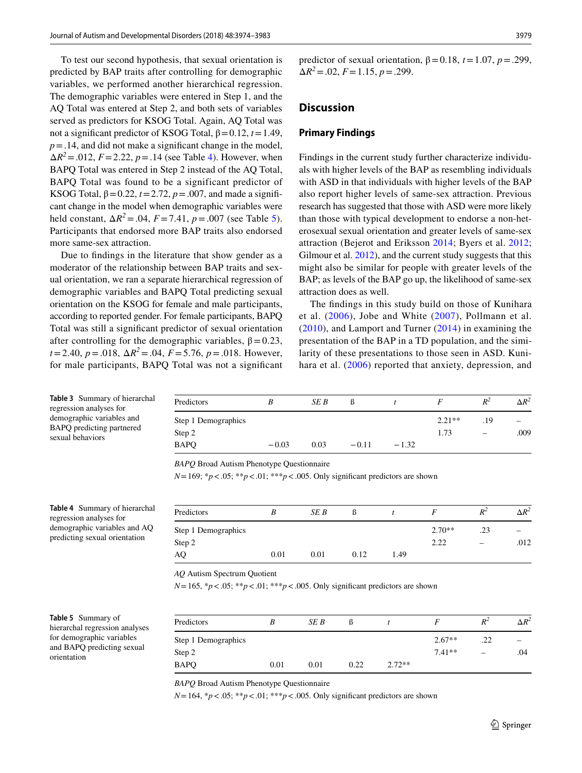To test our second hypothesis, that sexual orientation is predicted by BAP traits after controlling for demographic variables, we performed another hierarchical regression. The demographic variables were entered in Step 1, and the AQ Total was entered at Step 2, and both sets of variables served as predictors for KSOG Total. Again, AQ Total was not a significant predictor of KSOG Total, β=0.12, *t*=1.49,  $p = 0.14$ , and did not make a significant change in the model,  $\Delta R^2$  = .012, *F* = 2.22, *p* = .14 (see Table [4\)](#page-6-1). However, when BAPQ Total was entered in Step 2 instead of the AQ Total, BAPQ Total was found to be a significant predictor of KSOG Total,  $\beta$  = 0.22,  $t$  = 2.72,  $p$  = .007, and made a significant change in the model when demographic variables were held constant,  $\Delta R^2 = .04$ ,  $F = 7.41$ ,  $p = .007$  (see Table [5](#page-6-2)). Participants that endorsed more BAP traits also endorsed more same-sex attraction.

Due to findings in the literature that show gender as a moderator of the relationship between BAP traits and sexual orientation, we ran a separate hierarchical regression of demographic variables and BAPQ Total predicting sexual orientation on the KSOG for female and male participants, according to reported gender. For female participants, BAPQ Total was still a significant predictor of sexual orientation after controlling for the demographic variables,  $\beta = 0.23$ ,  $t = 2.40$ ,  $p = .018$ ,  $\Delta R^2 = .04$ ,  $F = 5.76$ ,  $p = .018$ . However, for male participants, BAPQ Total was not a significant predictor of sexual orientation,  $\beta = 0.18$ ,  $t = 1.07$ ,  $p = .299$ ,  $\Delta R^2 = .02, F = 1.15, p = .299.$ 

# **Discussion**

# **Primary Findings**

Findings in the current study further characterize individuals with higher levels of the BAP as resembling individuals with ASD in that individuals with higher levels of the BAP also report higher levels of same-sex attraction. Previous research has suggested that those with ASD were more likely than those with typical development to endorse a non-heterosexual sexual orientation and greater levels of same-sex attraction (Bejerot and Eriksson [2014;](#page-8-1) Byers et al. [2012](#page-9-17); Gilmour et al. [2012](#page-9-5)), and the current study suggests that this might also be similar for people with greater levels of the BAP; as levels of the BAP go up, the likelihood of same-sex attraction does as well.

The findings in this study build on those of Kunihara et al. ([2006\)](#page-9-2), Jobe and White ([2007\)](#page-9-1), Pollmann et al. ([2010](#page-9-14)), and Lamport and Turner ([2014](#page-9-13)) in examining the presentation of the BAP in a TD population, and the similarity of these presentations to those seen in ASD. Kuni-hara et al. [\(2006\)](#page-9-2) reported that anxiety, depression, and

| Predictors          |         | SE B |         |         |          | $R^2$                    | $\Delta R^2$             |
|---------------------|---------|------|---------|---------|----------|--------------------------|--------------------------|
| Step 1 Demographics |         |      |         |         | $2.21**$ | .19                      | $\overline{\phantom{m}}$ |
| Step 2              |         |      |         |         | 1.73     | $\overline{\phantom{0}}$ | .009                     |
| BAPO                | $-0.03$ | 0.03 | $-0.11$ | $-1.32$ |          |                          |                          |

*BAPQ* Broad Autism Phenotype Questionnaire

 $N=169$ ; \**p* < .05; \*\**p* < .01; \*\*\**p* < .005. Only significant predictors are shown

|                     |      | SE B |      |      |          | $R^2$                    |              |
|---------------------|------|------|------|------|----------|--------------------------|--------------|
| Predictors          |      |      |      |      |          |                          | $\Delta R^2$ |
| Step 1 Demographics |      |      |      |      | $2.70**$ | .23                      | -            |
| Step 2              |      |      |      |      | 2.22     | $\overline{\phantom{0}}$ | .012         |
| AQ                  | 0.01 | 0.01 | 0.12 | 1.49 |          |                          |              |

*AQ* Autism Spectrum Quotient

*N*=165,  $*p$ <.05;  $**p$ <.01;  $**p$ <.005. Only significant predictors are shown

| Predictors          | В    | SE B |      |          |          | $R^2$                    | $\Delta R^2$ |
|---------------------|------|------|------|----------|----------|--------------------------|--------------|
| Step 1 Demographics |      |      |      |          | $2.67**$ | .22                      | -            |
| Step 2              |      |      |      |          | $7.41**$ | $\overline{\phantom{a}}$ | .04          |
| <b>BAPO</b>         | 0.01 | 0.01 | 0.22 | $2.72**$ |          |                          |              |

*BAPQ* Broad Autism Phenotype Questionnaire

 $N=164$ ,  $* p < .05$ ;  $* p < .01$ ;  $* * p < .005$ . Only significant predictors are shown

<span id="page-6-2"></span>**Table 5** Summary of hierarchal regression analyses for demographic variables and BAPQ predicting sexual orientation

<span id="page-6-0"></span>**Table 3** Summary of hierarchal regression analyses for demographic variables and BAPQ predicting partnered

<span id="page-6-1"></span>**Table 4** Summary of hierarchal regression analyses for demographic variables and AQ predicting sexual orientation

sexual behaviors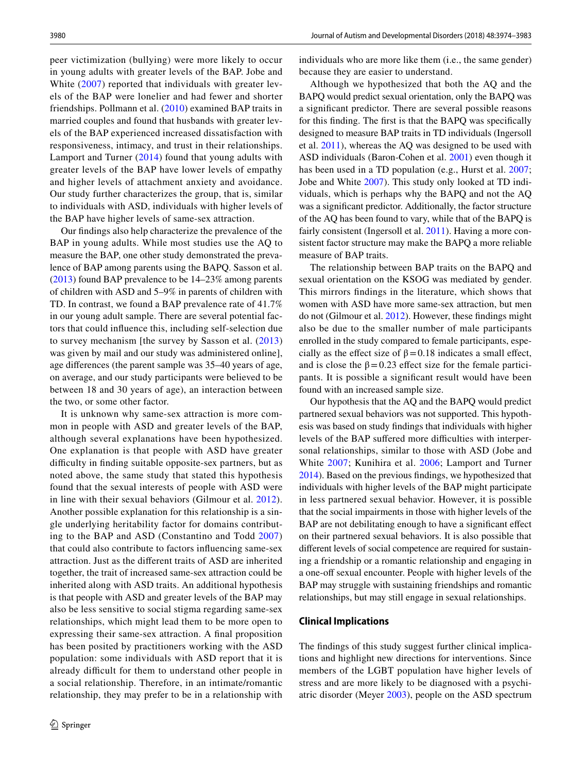peer victimization (bullying) were more likely to occur in young adults with greater levels of the BAP. Jobe and White [\(2007](#page-9-1)) reported that individuals with greater levels of the BAP were lonelier and had fewer and shorter friendships. Pollmann et al. ([2010\)](#page-9-14) examined BAP traits in married couples and found that husbands with greater levels of the BAP experienced increased dissatisfaction with responsiveness, intimacy, and trust in their relationships. Lamport and Turner ([2014\)](#page-9-13) found that young adults with greater levels of the BAP have lower levels of empathy and higher levels of attachment anxiety and avoidance. Our study further characterizes the group, that is, similar to individuals with ASD, individuals with higher levels of the BAP have higher levels of same-sex attraction.

Our findings also help characterize the prevalence of the BAP in young adults. While most studies use the AQ to measure the BAP, one other study demonstrated the prevalence of BAP among parents using the BAPQ. Sasson et al. [\(2013\)](#page-10-7) found BAP prevalence to be 14–23% among parents of children with ASD and 5–9% in parents of children with TD. In contrast, we found a BAP prevalence rate of 41.7% in our young adult sample. There are several potential factors that could influence this, including self-selection due to survey mechanism [the survey by Sasson et al. ([2013\)](#page-10-7) was given by mail and our study was administered online], age differences (the parent sample was 35–40 years of age, on average, and our study participants were believed to be between 18 and 30 years of age), an interaction between the two, or some other factor.

It is unknown why same-sex attraction is more common in people with ASD and greater levels of the BAP, although several explanations have been hypothesized. One explanation is that people with ASD have greater difficulty in finding suitable opposite-sex partners, but as noted above, the same study that stated this hypothesis found that the sexual interests of people with ASD were in line with their sexual behaviors (Gilmour et al. [2012](#page-9-5)). Another possible explanation for this relationship is a single underlying heritability factor for domains contributing to the BAP and ASD (Constantino and Todd [2007\)](#page-9-23) that could also contribute to factors influencing same-sex attraction. Just as the different traits of ASD are inherited together, the trait of increased same-sex attraction could be inherited along with ASD traits. An additional hypothesis is that people with ASD and greater levels of the BAP may also be less sensitive to social stigma regarding same-sex relationships, which might lead them to be more open to expressing their same-sex attraction. A final proposition has been posited by practitioners working with the ASD population: some individuals with ASD report that it is already difficult for them to understand other people in a social relationship. Therefore, in an intimate/romantic relationship, they may prefer to be in a relationship with individuals who are more like them (i.e., the same gender) because they are easier to understand.

Although we hypothesized that both the AQ and the BAPQ would predict sexual orientation, only the BAPQ was a significant predictor. There are several possible reasons for this finding. The first is that the BAPQ was specifically designed to measure BAP traits in TD individuals (Ingersoll et al. [2011\)](#page-9-26), whereas the AQ was designed to be used with ASD individuals (Baron-Cohen et al. [2001](#page-8-3)) even though it has been used in a TD population (e.g., Hurst et al. [2007](#page-9-11); Jobe and White [2007\)](#page-9-1). This study only looked at TD individuals, which is perhaps why the BAPQ and not the AQ was a significant predictor. Additionally, the factor structure of the AQ has been found to vary, while that of the BAPQ is fairly consistent (Ingersoll et al. [2011](#page-9-26)). Having a more consistent factor structure may make the BAPQ a more reliable measure of BAP traits.

The relationship between BAP traits on the BAPQ and sexual orientation on the KSOG was mediated by gender. This mirrors findings in the literature, which shows that women with ASD have more same-sex attraction, but men do not (Gilmour et al. [2012\)](#page-9-5). However, these findings might also be due to the smaller number of male participants enrolled in the study compared to female participants, especially as the effect size of  $\beta$  = 0.18 indicates a small effect, and is close the  $\beta$  = 0.23 effect size for the female participants. It is possible a significant result would have been found with an increased sample size.

Our hypothesis that the AQ and the BAPQ would predict partnered sexual behaviors was not supported. This hypothesis was based on study findings that individuals with higher levels of the BAP suffered more difficulties with interpersonal relationships, similar to those with ASD (Jobe and White [2007](#page-9-1); Kunihira et al. [2006](#page-9-2); Lamport and Turner [2014](#page-9-13)). Based on the previous findings, we hypothesized that individuals with higher levels of the BAP might participate in less partnered sexual behavior. However, it is possible that the social impairments in those with higher levels of the BAP are not debilitating enough to have a significant effect on their partnered sexual behaviors. It is also possible that different levels of social competence are required for sustaining a friendship or a romantic relationship and engaging in a one-off sexual encounter. People with higher levels of the BAP may struggle with sustaining friendships and romantic relationships, but may still engage in sexual relationships.

# **Clinical Implications**

The findings of this study suggest further clinical implications and highlight new directions for interventions. Since members of the LGBT population have higher levels of stress and are more likely to be diagnosed with a psychiatric disorder (Meyer [2003](#page-9-30)), people on the ASD spectrum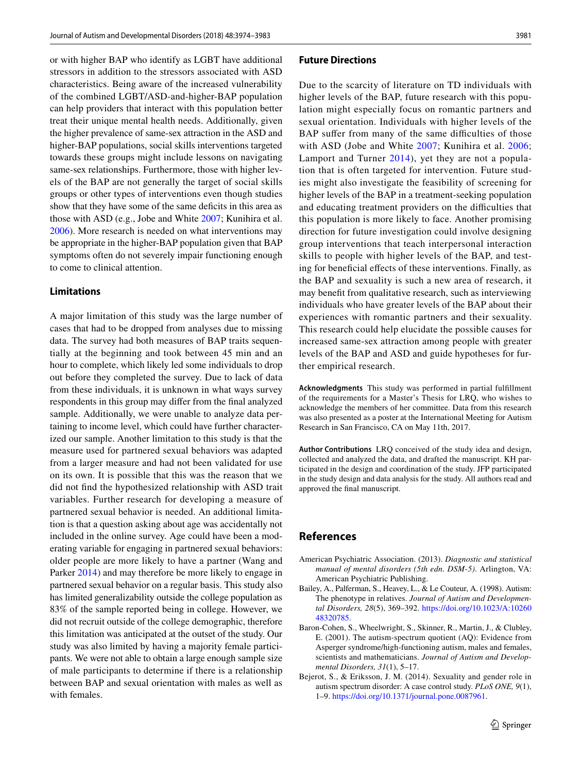or with higher BAP who identify as LGBT have additional stressors in addition to the stressors associated with ASD characteristics. Being aware of the increased vulnerability of the combined LGBT/ASD-and-higher-BAP population can help providers that interact with this population better treat their unique mental health needs. Additionally, given the higher prevalence of same-sex attraction in the ASD and higher-BAP populations, social skills interventions targeted towards these groups might include lessons on navigating same-sex relationships. Furthermore, those with higher levels of the BAP are not generally the target of social skills groups or other types of interventions even though studies show that they have some of the same deficits in this area as those with ASD (e.g., Jobe and White [2007](#page-9-1); Kunihira et al. [2006](#page-9-2)). More research is needed on what interventions may be appropriate in the higher-BAP population given that BAP symptoms often do not severely impair functioning enough to come to clinical attention.

# **Limitations**

A major limitation of this study was the large number of cases that had to be dropped from analyses due to missing data. The survey had both measures of BAP traits sequentially at the beginning and took between 45 min and an hour to complete, which likely led some individuals to drop out before they completed the survey. Due to lack of data from these individuals, it is unknown in what ways survey respondents in this group may differ from the final analyzed sample. Additionally, we were unable to analyze data pertaining to income level, which could have further characterized our sample. Another limitation to this study is that the measure used for partnered sexual behaviors was adapted from a larger measure and had not been validated for use on its own. It is possible that this was the reason that we did not find the hypothesized relationship with ASD trait variables. Further research for developing a measure of partnered sexual behavior is needed. An additional limitation is that a question asking about age was accidentally not included in the online survey. Age could have been a moderating variable for engaging in partnered sexual behaviors: older people are more likely to have a partner (Wang and Parker [2014\)](#page-10-8) and may therefore be more likely to engage in partnered sexual behavior on a regular basis. This study also has limited generalizability outside the college population as 83% of the sample reported being in college. However, we did not recruit outside of the college demographic, therefore this limitation was anticipated at the outset of the study. Our study was also limited by having a majority female participants. We were not able to obtain a large enough sample size of male participants to determine if there is a relationship between BAP and sexual orientation with males as well as with females.

# **Future Directions**

Due to the scarcity of literature on TD individuals with higher levels of the BAP, future research with this population might especially focus on romantic partners and sexual orientation. Individuals with higher levels of the BAP suffer from many of the same difficulties of those with ASD (Jobe and White [2007;](#page-9-1) Kunihira et al. [2006](#page-9-2); Lamport and Turner [2014](#page-9-13)), yet they are not a population that is often targeted for intervention. Future studies might also investigate the feasibility of screening for higher levels of the BAP in a treatment-seeking population and educating treatment providers on the difficulties that this population is more likely to face. Another promising direction for future investigation could involve designing group interventions that teach interpersonal interaction skills to people with higher levels of the BAP, and testing for beneficial effects of these interventions. Finally, as the BAP and sexuality is such a new area of research, it may benefit from qualitative research, such as interviewing individuals who have greater levels of the BAP about their experiences with romantic partners and their sexuality. This research could help elucidate the possible causes for increased same-sex attraction among people with greater levels of the BAP and ASD and guide hypotheses for further empirical research.

**Acknowledgments** This study was performed in partial fulfillment of the requirements for a Master's Thesis for LRQ, who wishes to acknowledge the members of her committee. Data from this research was also presented as a poster at the International Meeting for Autism Research in San Francisco, CA on May 11th, 2017.

**Author Contributions** LRQ conceived of the study idea and design, collected and analyzed the data, and drafted the manuscript. KH participated in the design and coordination of the study. JFP participated in the study design and data analysis for the study. All authors read and approved the final manuscript.

# **References**

- <span id="page-8-0"></span>American Psychiatric Association. (2013). *Diagnostic and statistical manual of mental disorders (5th edn. DSM-5)*. Arlington, VA: American Psychiatric Publishing.
- <span id="page-8-2"></span>Bailey, A., Palferman, S., Heavey, L., & Le Couteur, A. (1998). Autism: The phenotype in relatives. *Journal of Autism and Developmental Disorders, 28*(5), 369–392. [https://doi.org/10.1023/A:10260](https://doi.org/10.1023/A:1026048320785) [48320785](https://doi.org/10.1023/A:1026048320785).
- <span id="page-8-3"></span>Baron-Cohen, S., Wheelwright, S., Skinner, R., Martin, J., & Clubley, E. (2001). The autism-spectrum quotient (AQ): Evidence from Asperger syndrome/high-functioning autism, males and females, scientists and mathematicians. *Journal of Autism and Developmental Disorders, 31*(1), 5–17.
- <span id="page-8-1"></span>Bejerot, S., & Eriksson, J. M. (2014). Sexuality and gender role in autism spectrum disorder: A case control study. *PLoS ONE, 9*(1), 1–9.<https://doi.org/10.1371/journal.pone.0087961>.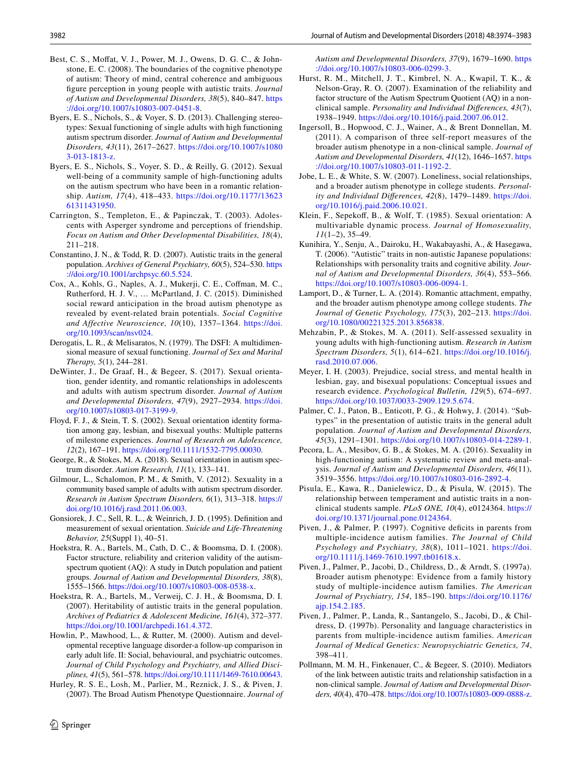- <span id="page-9-0"></span>Best, C. S., Moffat, V. J., Power, M. J., Owens, D. G. C., & Johnstone, E. C. (2008). The boundaries of the cognitive phenotype of autism: Theory of mind, central coherence and ambiguous figure perception in young people with autistic traits. *Journal of Autism and Developmental Disorders, 38*(5), 840–847. [https](https://doi.org/10.1007/s10803-007-0451-8) [://doi.org/10.1007/s10803-007-0451-8.](https://doi.org/10.1007/s10803-007-0451-8)
- <span id="page-9-4"></span>Byers, E. S., Nichols, S., & Voyer, S. D. (2013). Challenging stereotypes: Sexual functioning of single adults with high functioning autism spectrum disorder. *Journal of Autism and Developmental Disorders, 43*(11), 2617–2627. [https://doi.org/10.1007/s1080](https://doi.org/10.1007/s10803-013-1813-z) [3-013-1813-z](https://doi.org/10.1007/s10803-013-1813-z).
- <span id="page-9-17"></span>Byers, E. S., Nichols, S., Voyer, S. D., & Reilly, G. (2012). Sexual well-being of a community sample of high-functioning adults on the autism spectrum who have been in a romantic relationship. *Autism, 17*(4), 418–433. [https://doi.org/10.1177/13623](https://doi.org/10.1177/1362361311431950) [61311431950.](https://doi.org/10.1177/1362361311431950)
- <span id="page-9-18"></span>Carrington, S., Templeton, E., & Papinczak, T. (2003). Adolescents with Asperger syndrome and perceptions of friendship. *Focus on Autism and Other Developmental Disabilities, 18*(4), 211–218.
- <span id="page-9-23"></span>Constantino, J. N., & Todd, R. D. (2007). Autistic traits in the general population. *Archives of General Psychiatry, 60*(5), 524–530. [https](https://doi.org/10.1001/archpsyc.60.5.524) [://doi.org/10.1001/archpsyc.60.5.524.](https://doi.org/10.1001/archpsyc.60.5.524)
- <span id="page-9-15"></span>Cox, A., Kohls, G., Naples, A. J., Mukerji, C. E., Coffman, M. C., Rutherford, H. J. V., … McPartland, J. C. (2015). Diminished social reward anticipation in the broad autism phenotype as revealed by event-related brain potentials. *Social Cognitive and Affective Neuroscience, 10*(10), 1357–1364. [https://doi.](https://doi.org/10.1093/scan/nsv024) [org/10.1093/scan/nsv024.](https://doi.org/10.1093/scan/nsv024)
- <span id="page-9-27"></span>Derogatis, L. R., & Melisaratos, N. (1979). The DSFI: A multidimensional measure of sexual functioning. *Journal of Sex and Marital Therapy, 5*(1), 244–281.
- <span id="page-9-16"></span>DeWinter, J., De Graaf, H., & Begeer, S. (2017). Sexual orientation, gender identity, and romantic relationships in adolescents and adults with autism spectrum disorder. *Journal of Autism and Developmental Disorders, 47*(9), 2927–2934. [https://doi.](https://doi.org/10.1007/s10803-017-3199-9) [org/10.1007/s10803-017-3199-9.](https://doi.org/10.1007/s10803-017-3199-9)
- <span id="page-9-29"></span>Floyd, F. J., & Stein, T. S. (2002). Sexual orientation identity formation among gay, lesbian, and bisexual youths: Multiple patterns of milestone experiences. *Journal of Research on Adolescence, 12*(2), 167–191.<https://doi.org/10.1111/1532-7795.00030>.
- <span id="page-9-22"></span>George, R., & Stokes, M. A. (2018). Sexual orientation in autism spectrum disorder. *Autism Research, 11*(1), 133–141.
- <span id="page-9-5"></span>Gilmour, L., Schalomon, P. M., & Smith, V. (2012). Sexuality in a community based sample of adults with autism spectrum disorder. *Research in Autism Spectrum Disorders, 6*(1), 313–318. [https://](https://doi.org/10.1016/j.rasd.2011.06.003) [doi.org/10.1016/j.rasd.2011.06.003](https://doi.org/10.1016/j.rasd.2011.06.003).
- <span id="page-9-20"></span>Gonsiorek, J. C., Sell, R. L., & Weinrich, J. D. (1995). Definition and measurement of sexual orientation. *Suicide and Life-Threatening Behavior, 25*(Suppl 1), 40–51.
- <span id="page-9-24"></span>Hoekstra, R. A., Bartels, M., Cath, D. C., & Boomsma, D. I. (2008). Factor structure, reliability and criterion validity of the autismspectrum quotient (AQ): A study in Dutch population and patient groups. *Journal of Autism and Developmental Disorders, 38*(8), 1555–1566. [https://doi.org/10.1007/s10803-008-0538-x.](https://doi.org/10.1007/s10803-008-0538-x)
- <span id="page-9-7"></span>Hoekstra, R. A., Bartels, M., Verweij, C. J. H., & Boomsma, D. I. (2007). Heritability of autistic traits in the general population. *Archives of Pediatrics & Adolescent Medicine, 161*(4), 372–377. <https://doi.org/10.1001/archpedi.161.4.372>.
- <span id="page-9-19"></span>Howlin, P., Mawhood, L., & Rutter, M. (2000). Autism and developmental receptive language disorder-a follow-up comparison in early adult life. II: Social, behavioural, and psychiatric outcomes. *Journal of Child Psychology and Psychiatry, and Allied Disciplines, 41*(5), 561–578.<https://doi.org/10.1111/1469-7610.00643>.
- <span id="page-9-25"></span>Hurley, R. S. E., Losh, M., Parlier, M., Reznick, J. S., & Piven, J. (2007). The Broad Autism Phenotype Questionnaire. *Journal of*

 $\circled{2}$  Springer

*Autism and Developmental Disorders, 37*(9), 1679–1690. [https](https://doi.org/10.1007/s10803-006-0299-3) [://doi.org/10.1007/s10803-006-0299-3.](https://doi.org/10.1007/s10803-006-0299-3)

- <span id="page-9-11"></span>Hurst, R. M., Mitchell, J. T., Kimbrel, N. A., Kwapil, T. K., & Nelson-Gray, R. O. (2007). Examination of the reliability and factor structure of the Autism Spectrum Quotient (AQ) in a nonclinical sample. *Personality and Individual Differences, 43*(7), 1938–1949.<https://doi.org/10.1016/j.paid.2007.06.012>.
- <span id="page-9-26"></span>Ingersoll, B., Hopwood, C. J., Wainer, A., & Brent Donnellan, M. (2011). A comparison of three self-report measures of the broader autism phenotype in a non-clinical sample. *Journal of Autism and Developmental Disorders, 41*(12), 1646–1657. [https](https://doi.org/10.1007/s10803-011-1192-2) [://doi.org/10.1007/s10803-011-1192-2.](https://doi.org/10.1007/s10803-011-1192-2)
- <span id="page-9-1"></span>Jobe, L. E., & White, S. W. (2007). Loneliness, social relationships, and a broader autism phenotype in college students. *Personality and Individual Differences, 42*(8), 1479–1489. [https://doi.](https://doi.org/10.1016/j.paid.2006.10.021) [org/10.1016/j.paid.2006.10.021](https://doi.org/10.1016/j.paid.2006.10.021).
- <span id="page-9-28"></span>Klein, F., Sepekoff, B., & Wolf, T. (1985). Sexual orientation: A multivariable dynamic process. *Journal of Homosexuality, 11*(1–2), 35–49.
- <span id="page-9-2"></span>Kunihira, Y., Senju, A., Dairoku, H., Wakabayashi, A., & Hasegawa, T. (2006). "Autistic" traits in non-autistic Japanese populations: Relationships with personality traits and cognitive ability. *Journal of Autism and Developmental Disorders, 36*(4), 553–566. <https://doi.org/10.1007/s10803-006-0094-1>.
- <span id="page-9-13"></span>Lamport, D., & Turner, L. A. (2014). Romantic attachment, empathy, and the broader autism phenotype among college students. *The Journal of Genetic Psychology, 175*(3), 202–213. [https://doi.](https://doi.org/10.1080/00221325.2013.856838) [org/10.1080/00221325.2013.856838.](https://doi.org/10.1080/00221325.2013.856838)
- <span id="page-9-6"></span>Mehzabin, P., & Stokes, M. A. (2011). Self-assessed sexuality in young adults with high-functioning autism. *Research in Autism Spectrum Disorders, 5*(1), 614–621. [https://doi.org/10.1016/j.](https://doi.org/10.1016/j.rasd.2010.07.006) [rasd.2010.07.006.](https://doi.org/10.1016/j.rasd.2010.07.006)
- <span id="page-9-30"></span>Meyer, I. H. (2003). Prejudice, social stress, and mental health in lesbian, gay, and bisexual populations: Conceptual issues and research evidence. *Psychological Bulletin, 129*(5), 674–697. <https://doi.org/10.1037/0033-2909.129.5.674>.
- <span id="page-9-3"></span>Palmer, C. J., Paton, B., Enticott, P. G., & Hohwy, J. (2014). "Subtypes" in the presentation of autistic traits in the general adult population. *Journal of Autism and Developmental Disorders, 45*(3), 1291–1301.<https://doi.org/10.1007/s10803-014-2289-1>.
- <span id="page-9-21"></span>Pecora, L. A., Mesibov, G. B., & Stokes, M. A. (2016). Sexuality in high-functioning autism: A systematic review and meta-analysis. *Journal of Autism and Developmental Disorders, 46*(11), 3519–3556.<https://doi.org/10.1007/s10803-016-2892-4>.
- <span id="page-9-12"></span>Pisula, E., Kawa, R., Danielewicz, D., & Pisula, W. (2015). The relationship between temperament and autistic traits in a nonclinical students sample. *PLoS ONE, 10*(4), e0124364. [https://](https://doi.org/10.1371/journal.pone.0124364) [doi.org/10.1371/journal.pone.0124364](https://doi.org/10.1371/journal.pone.0124364).
- <span id="page-9-9"></span>Piven, J., & Palmer, P. (1997). Cognitive deficits in parents from multiple-incidence autism families. *The Journal of Child Psychology and Psychiatry, 38*(8), 1011–1021. [https://doi.](https://doi.org/10.1111/j.1469-7610.1997.tb01618.x) [org/10.1111/j.1469-7610.1997.tb01618.x.](https://doi.org/10.1111/j.1469-7610.1997.tb01618.x)
- <span id="page-9-8"></span>Piven, J., Palmer, P., Jacobi, D., Childress, D., & Arndt, S. (1997a). Broader autism phenotype: Evidence from a family history study of multiple-incidence autism families. *The American Journal of Psychiatry, 154*, 185–190. [https://doi.org/10.1176/](https://doi.org/10.1176/ajp.154.2.185) [ajp.154.2.185.](https://doi.org/10.1176/ajp.154.2.185)
- <span id="page-9-10"></span>Piven, J., Palmer, P., Landa, R., Santangelo, S., Jacobi, D., & Childress, D. (1997b). Personality and language characteristics in parents from multiple-incidence autism families. *American Journal of Medical Genetics: Neuropsychiatric Genetics, 74*, 398–411.
- <span id="page-9-14"></span>Pollmann, M. M. H., Finkenauer, C., & Begeer, S. (2010). Mediators of the link between autistic traits and relationship satisfaction in a non-clinical sample. *Journal of Autism and Developmental Disorders, 40*(4), 470–478.<https://doi.org/10.1007/s10803-009-0888-z>.